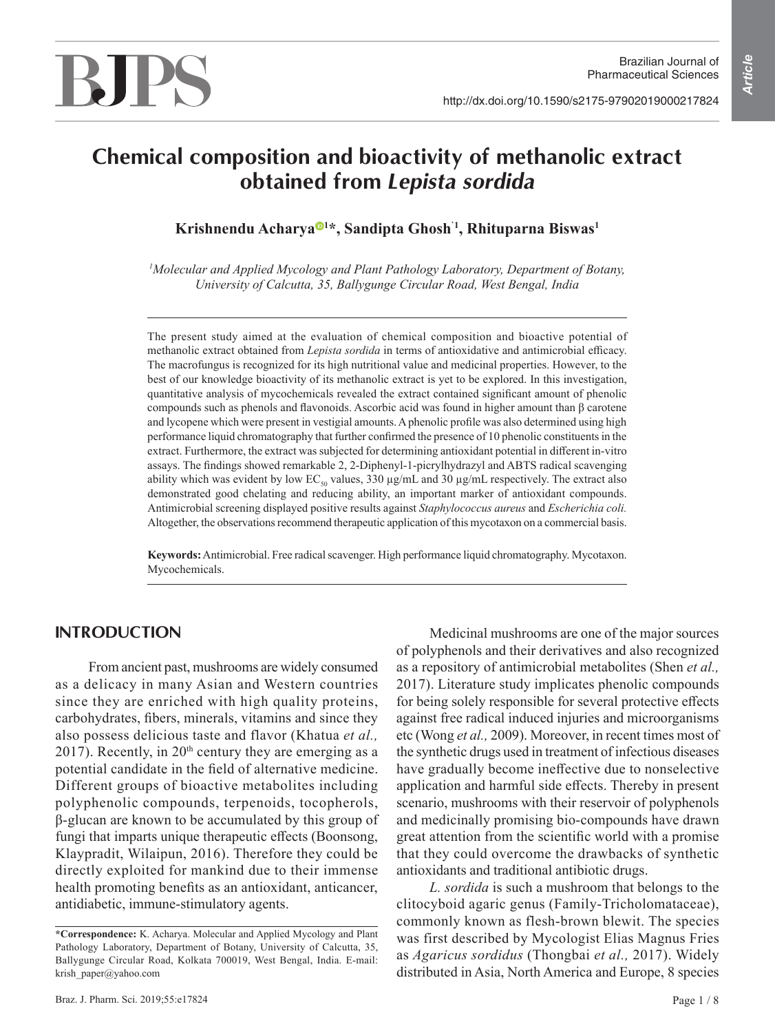Brazilian Journal of

# **BJPS**

## **Chemical composition and bioactivity of methanolic extract obtained from** *Lepista sordida*

**Krishnendu Acharya <sup>1</sup>\*, Sandipta Ghosh`1, Rhituparna Biswas<sup>1</sup>**

*<sup>1</sup>Molecular and Applied Mycology and Plant Pathology Laboratory, Department of Botany, University of Calcutta, 35, Ballygunge Circular Road, West Bengal, India*

The present study aimed at the evaluation of chemical composition and bioactive potential of methanolic extract obtained from *Lepista sordida* in terms of antioxidative and antimicrobial efficacy. The macrofungus is recognized for its high nutritional value and medicinal properties. However, to the best of our knowledge bioactivity of its methanolic extract is yet to be explored. In this investigation, quantitative analysis of mycochemicals revealed the extract contained significant amount of phenolic compounds such as phenols and flavonoids. Ascorbic acid was found in higher amount than β carotene and lycopene which were present in vestigial amounts. A phenolic profile was also determined using high performance liquid chromatography that further confirmed the presence of 10 phenolic constituents in the extract. Furthermore, the extract was subjected for determining antioxidant potential in different in-vitro assays. The findings showed remarkable 2, 2-Diphenyl-1-picrylhydrazyl and ABTS radical scavenging ability which was evident by low  $EC_{50}$  values, 330  $\mu$ g/mL and 30  $\mu$ g/mL respectively. The extract also demonstrated good chelating and reducing ability, an important marker of antioxidant compounds. Antimicrobial screening displayed positive results against *Staphylococcus aureus* and *Escherichia coli.*  Altogether, the observations recommend therapeutic application of this mycotaxon on a commercial basis.

**Keywords:** Antimicrobial. Free radical scavenger. High performance liquid chromatography. Mycotaxon. Mycochemicals.

## **INTRODUCTION**

From ancient past, mushrooms are widely consumed as a delicacy in many Asian and Western countries since they are enriched with high quality proteins, carbohydrates, fibers, minerals, vitamins and since they also possess delicious taste and flavor (Khatua *et al.,* 2017). Recently, in  $20<sup>th</sup>$  century they are emerging as a potential candidate in the field of alternative medicine. Different groups of bioactive metabolites including polyphenolic compounds, terpenoids, tocopherols, β-glucan are known to be accumulated by this group of fungi that imparts unique therapeutic effects (Boonsong, Klaypradit, Wilaipun, 2016). Therefore they could be directly exploited for mankind due to their immense health promoting benefits as an antioxidant, anticancer, antidiabetic, immune-stimulatory agents.

Medicinal mushrooms are one of the major sources of polyphenols and their derivatives and also recognized as a repository of antimicrobial metabolites (Shen *et al.,* 2017). Literature study implicates phenolic compounds for being solely responsible for several protective effects against free radical induced injuries and microorganisms etc (Wong *et al.,* 2009). Moreover, in recent times most of the synthetic drugs used in treatment of infectious diseases have gradually become ineffective due to nonselective application and harmful side effects. Thereby in present scenario, mushrooms with their reservoir of polyphenols and medicinally promising bio-compounds have drawn great attention from the scientific world with a promise that they could overcome the drawbacks of synthetic antioxidants and traditional antibiotic drugs.

*L. sordida* is such a mushroom that belongs to the clitocyboid agaric genus (Family-Tricholomataceae), commonly known as flesh-brown blewit. The species was first described by Mycologist Elias Magnus Fries as *Agaricus sordidus* (Thongbai *et al.,* 2017). Widely distributed in Asia, North America and Europe, 8 species

**<sup>\*</sup>Correspondence:** K. Acharya. Molecular and Applied Mycology and Plant Pathology Laboratory, Department of Botany, University of Calcutta, 35, Ballygunge Circular Road, Kolkata 700019, West Bengal, India. E-mail: krish\_paper@yahoo.com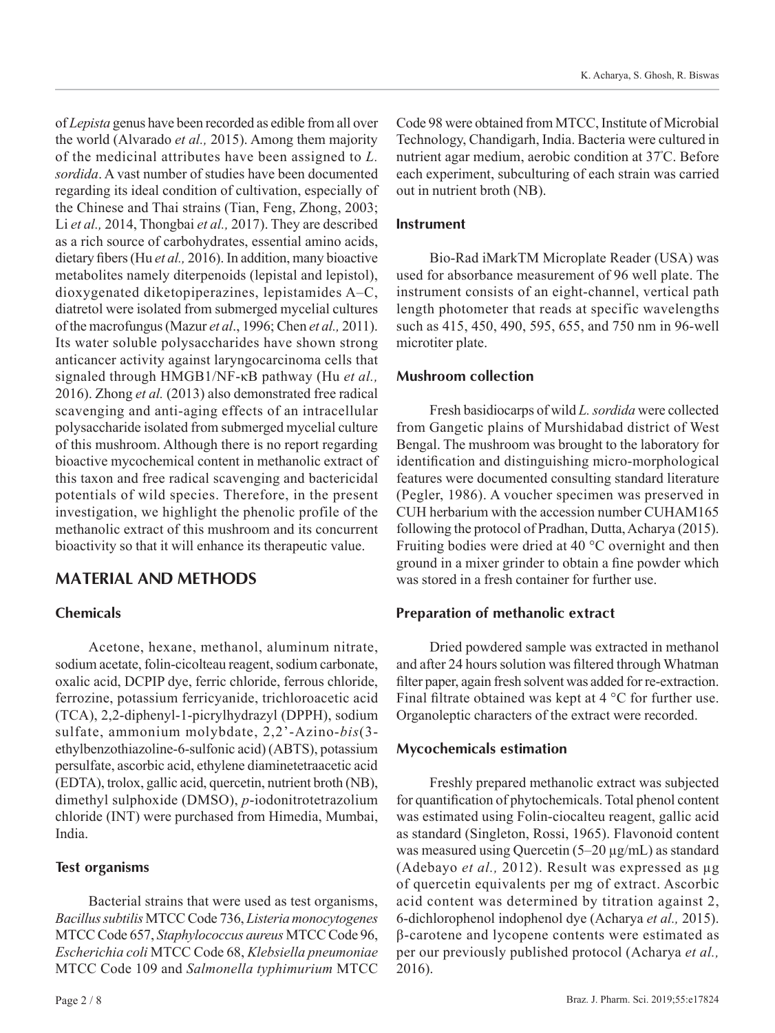of *Lepista* genus have been recorded as edible from all over the world (Alvarado *et al.,* 2015). Among them majority of the medicinal attributes have been assigned to *L. sordida*. A vast number of studies have been documented regarding its ideal condition of cultivation, especially of the Chinese and Thai strains (Tian, Feng, Zhong, 2003; Li *et al.,* 2014, Thongbai *et al.,* 2017). They are described as a rich source of carbohydrates, essential amino acids, dietary fibers (Hu *et al.,* 2016). In addition, many bioactive metabolites namely diterpenoids (lepistal and lepistol), dioxygenated diketopiperazines, lepistamides A–C, diatretol were isolated from submerged mycelial cultures of the macrofungus (Mazur *et al*., 1996; Chen *et al.,* 2011). Its water soluble polysaccharides have shown strong anticancer activity against laryngocarcinoma cells that signaled through HMGB1/NF-κB pathway (Hu *et al.,* 2016). Zhong *et al.* (2013) also demonstrated free radical scavenging and anti-aging effects of an intracellular polysaccharide isolated from submerged mycelial culture of this mushroom. Although there is no report regarding bioactive mycochemical content in methanolic extract of this taxon and free radical scavenging and bactericidal potentials of wild species. Therefore, in the present investigation, we highlight the phenolic profile of the methanolic extract of this mushroom and its concurrent bioactivity so that it will enhance its therapeutic value.

## **MATERIAL AND METHODS**

## **Chemicals**

Acetone, hexane, methanol, aluminum nitrate, sodium acetate, folin-cicolteau reagent, sodium carbonate, oxalic acid, DCPIP dye, ferric chloride, ferrous chloride, ferrozine, potassium ferricyanide, trichloroacetic acid (TCA), 2,2-diphenyl-1-picrylhydrazyl (DPPH), sodium sulfate, ammonium molybdate, 2,2'-Azino-*bis*(3 ethylbenzothiazoline-6-sulfonic acid) (ABTS), potassium persulfate, ascorbic acid, ethylene diaminetetraacetic acid (EDTA), trolox, gallic acid, quercetin, nutrient broth (NB), dimethyl sulphoxide (DMSO), *p*-iodonitrotetrazolium chloride (INT) were purchased from Himedia, Mumbai, India.

## **Test organisms**

Bacterial strains that were used as test organisms, *Bacillussubtilis* MTCC Code 736, *Listeria monocytogenes* MTCC Code 657, *Staphylococcus aureus* MTCC Code 96, *Escherichia coli* MTCC Code 68, *Klebsiella pneumoniae* MTCC Code 109 and *Salmonella typhimurium* MTCC

Code 98 were obtained from MTCC, Institute of Microbial Technology, Chandigarh, India. Bacteria were cultured in nutrient agar medium, aerobic condition at 37<sup>º</sup>C. Before each experiment, subculturing of each strain was carried out in nutrient broth (NB).

## **Instrument**

Bio-Rad iMarkTM Microplate Reader (USA) was used for absorbance measurement of 96 well plate. The instrument consists of an eight-channel, vertical path length photometer that reads at specific wavelengths such as 415, 450, 490, 595, 655, and 750 nm in 96-well microtiter plate.

## **Mushroom collection**

Fresh basidiocarps of wild *L. sordida* were collected from Gangetic plains of Murshidabad district of West Bengal. The mushroom was brought to the laboratory for identification and distinguishing micro-morphological features were documented consulting standard literature (Pegler, 1986). A voucher specimen was preserved in CUH herbarium with the accession number CUHAM165 following the protocol of Pradhan, Dutta, Acharya (2015). Fruiting bodies were dried at 40 °C overnight and then ground in a mixer grinder to obtain a fine powder which was stored in a fresh container for further use.

## **Preparation of methanolic extract**

Dried powdered sample was extracted in methanol and after 24 hours solution was filtered through Whatman filter paper, again fresh solvent was added for re-extraction. Final filtrate obtained was kept at 4 °C for further use. Organoleptic characters of the extract were recorded.

## **Mycochemicals estimation**

Freshly prepared methanolic extract was subjected for quantification of phytochemicals. Total phenol content was estimated using Folin-ciocalteu reagent, gallic acid as standard (Singleton, Rossi, 1965). Flavonoid content was measured using Quercetin (5–20 µg/mL) as standard (Adebayo *et al.,* 2012). Result was expressed as µg of quercetin equivalents per mg of extract. Ascorbic acid content was determined by titration against 2, 6-dichlorophenol indophenol dye (Acharya *et al.,* 2015). β-carotene and lycopene contents were estimated as per our previously published protocol (Acharya *et al.,* 2016).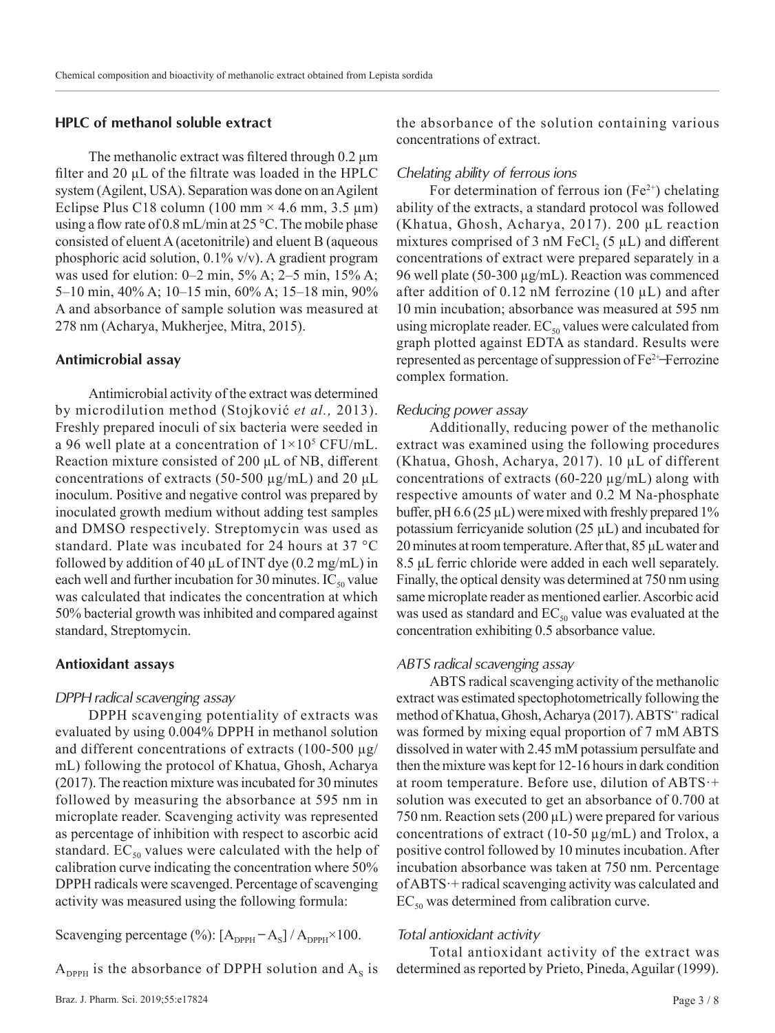#### **HPLC of methanol soluble extract**

The methanolic extract was filtered through 0.2  $\mu$ m filter and 20 µL of the filtrate was loaded in the HPLC system (Agilent, USA). Separation was done on an Agilent Eclipse Plus C18 column (100 mm  $\times$  4.6 mm, 3.5 µm) using a flow rate of 0.8 mL/min at 25 °C. The mobile phase consisted of eluent A (acetonitrile) and eluent B (aqueous phosphoric acid solution, 0.1% v/v). A gradient program was used for elution:  $0-2$  min,  $5\%$  A;  $2-5$  min,  $15\%$  A; 5–10 min, 40% A; 10–15 min, 60% A; 15–18 min, 90% A and absorbance of sample solution was measured at 278 nm (Acharya, Mukherjee, Mitra, 2015).

#### **Antimicrobial assay**

Antimicrobial activity of the extract was determined by microdilution method (Stojković *et al.,* 2013). Freshly prepared inoculi of six bacteria were seeded in a 96 well plate at a concentration of  $1\times10^5$  CFU/mL. Reaction mixture consisted of 200 μL of NB, different concentrations of extracts (50-500  $\mu$ g/mL) and 20  $\mu$ L inoculum. Positive and negative control was prepared by inoculated growth medium without adding test samples and DMSO respectively. Streptomycin was used as standard. Plate was incubated for 24 hours at 37 °C followed by addition of 40  $\mu$ L of INT dye (0.2 mg/mL) in each well and further incubation for 30 minutes.  $IC_{50}$  value was calculated that indicates the concentration at which 50% bacterial growth was inhibited and compared against standard, Streptomycin.

#### **Antioxidant assays**

#### *DPPH radical scavenging assay*

DPPH scavenging potentiality of extracts was evaluated by using 0.004% DPPH in methanol solution and different concentrations of extracts (100-500  $\mu$ g/ mL) following the protocol of Khatua, Ghosh, Acharya (2017). The reaction mixture was incubated for 30 minutes followed by measuring the absorbance at 595 nm in microplate reader. Scavenging activity was represented as percentage of inhibition with respect to ascorbic acid standard.  $EC_{50}$  values were calculated with the help of calibration curve indicating the concentration where 50% DPPH radicals were scavenged. Percentage of scavenging activity was measured using the following formula:

Scavenging percentage  $(\%)$ :  $[A_{DPPH} - A_s] / A_{DPPH} \times 100$ .

 $A_{\text{DPPH}}$  is the absorbance of DPPH solution and  $A_{\text{s}}$  is

the absorbance of the solution containing various concentrations of extract.

#### *Chelating ability of ferrous ions*

For determination of ferrous ion  $(Fe^{2+})$  chelating ability of the extracts, a standard protocol was followed (Khatua, Ghosh, Acharya, 2017). 200 µL reaction mixtures comprised of 3 nM  $\text{FeCl}_2$  (5  $\mu$ L) and different concentrations of extract were prepared separately in a 96 well plate (50-300 µg/mL). Reaction was commenced after addition of 0.12 nM ferrozine (10  $\mu$ L) and after 10 min incubation; absorbance was measured at 595 nm using microplate reader.  $EC_{50}$  values were calculated from graph plotted against EDTA as standard. Results were represented as percentage of suppression of  $Fe^{2+}$ -Ferrozine complex formation.

#### *Reducing power assay*

Additionally, reducing power of the methanolic extract was examined using the following procedures (Khatua, Ghosh, Acharya, 2017). 10 µL of different concentrations of extracts (60-220  $\mu$ g/mL) along with respective amounts of water and 0.2 M Na-phosphate buffer, pH  $6.6$  ( $25 \mu L$ ) were mixed with freshly prepared 1% potassium ferricyanide solution  $(25 \mu L)$  and incubated for 20 minutes at room temperature. After that, 85 μL water and 8.5 μL ferric chloride were added in each well separately. Finally, the optical density was determined at 750 nm using same microplate reader as mentioned earlier. Ascorbic acid was used as standard and  $EC_{50}$  value was evaluated at the concentration exhibiting 0.5 absorbance value.

#### *ABTS radical scavenging assay*

ABTS radical scavenging activity of the methanolic extract was estimated spectophotometrically following the method of Khatua, Ghosh, Acharya (2017). ABTS<sup>+</sup> radical was formed by mixing equal proportion of 7 mM ABTS dissolved in water with 2.45 mM potassium persulfate and then the mixture was kept for 12-16 hours in dark condition at room temperature. Before use, dilution of ABTS·+ solution was executed to get an absorbance of 0.700 at 750 nm. Reaction sets  $(200 \,\mu\text{L})$  were prepared for various concentrations of extract (10-50 µg/mL) and Trolox, a positive control followed by 10 minutes incubation. After incubation absorbance was taken at 750 nm. Percentage of ABTS·+ radical scavenging activity was calculated and  $EC_{50}$  was determined from calibration curve.

#### *Total antioxidant activity*

Total antioxidant activity of the extract was determined as reported by Prieto, Pineda, Aguilar (1999).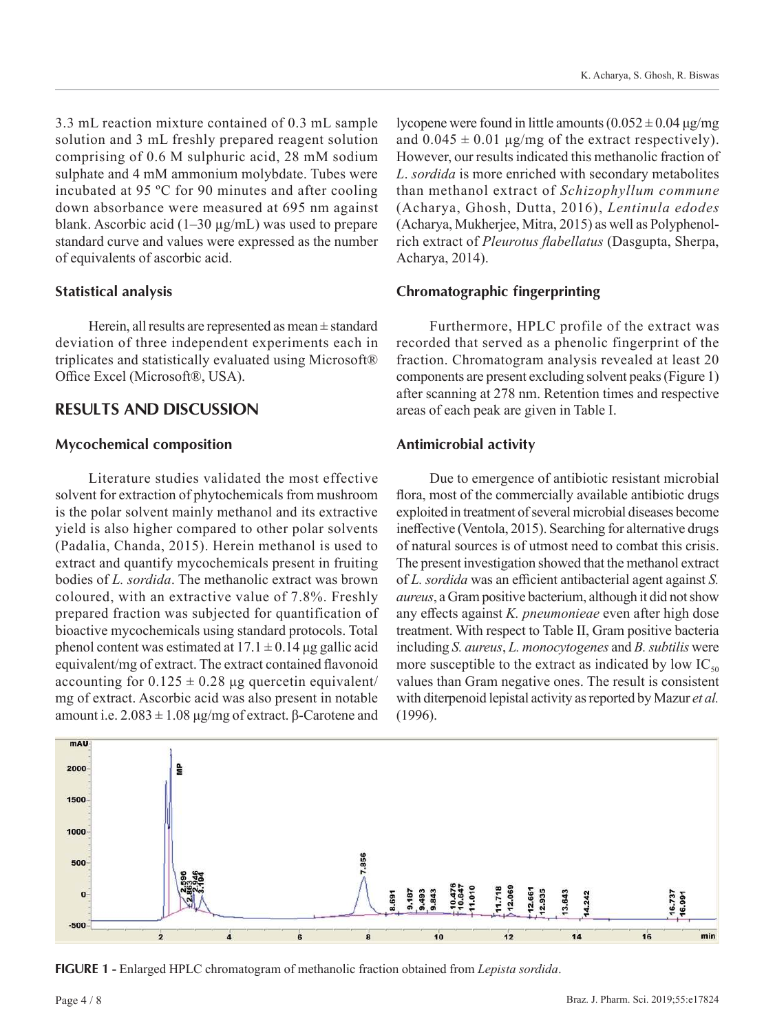3.3 mL reaction mixture contained of 0.3 mL sample solution and 3 mL freshly prepared reagent solution comprising of 0.6 M sulphuric acid, 28 mM sodium sulphate and 4 mM ammonium molybdate. Tubes were incubated at 95 ºC for 90 minutes and after cooling down absorbance were measured at 695 nm against blank. Ascorbic acid  $(1-30 \mu g/mL)$  was used to prepare standard curve and values were expressed as the number of equivalents of ascorbic acid.

#### **Statistical analysis**

Herein, all results are represented as mean  $\pm$  standard deviation of three independent experiments each in triplicates and statistically evaluated using Microsoft® Office Excel (Microsoft®, USA).

## **RESULTS AND DISCUSSION**

## **Mycochemical composition**

Literature studies validated the most effective solvent for extraction of phytochemicals from mushroom is the polar solvent mainly methanol and its extractive yield is also higher compared to other polar solvents (Padalia, Chanda, 2015). Herein methanol is used to extract and quantify mycochemicals present in fruiting bodies of *L. sordida*. The methanolic extract was brown coloured, with an extractive value of 7.8%. Freshly prepared fraction was subjected for quantification of bioactive mycochemicals using standard protocols. Total phenol content was estimated at  $17.1 \pm 0.14$  µg gallic acid equivalent/mg of extract. The extract contained flavonoid accounting for  $0.125 \pm 0.28$  µg quercetin equivalent/ mg of extract. Ascorbic acid was also present in notable amount i.e.  $2.083 \pm 1.08 \,\mu$ g/mg of extract. β-Carotene and

lycopene were found in little amounts  $(0.052 \pm 0.04 \,\mu$ g/mg and  $0.045 \pm 0.01$  μg/mg of the extract respectively). However, our results indicated this methanolic fraction of *L*. *sordida* is more enriched with secondary metabolites than methanol extract of *Schizophyllum commune* (Acharya, Ghosh, Dutta, 2016), *Lentinula edodes*  (Acharya, Mukherjee, Mitra, 2015) as well as Polyphenolrich extract of *Pleurotus flabellatus* (Dasgupta, Sherpa, Acharya, 2014).

## **Chromatographic fingerprinting**

Furthermore, HPLC profile of the extract was recorded that served as a phenolic fingerprint of the fraction. Chromatogram analysis revealed at least 20 components are present excluding solvent peaks (Figure 1) after scanning at 278 nm. Retention times and respective areas of each peak are given in Table I.

## **Antimicrobial activity**

Due to emergence of antibiotic resistant microbial flora, most of the commercially available antibiotic drugs exploited in treatment of several microbial diseases become ineffective (Ventola, 2015). Searching for alternative drugs of natural sources is of utmost need to combat this crisis. The present investigation showed that the methanol extract of *L. sordida* was an efficient antibacterial agent against *S. aureus*, a Gram positive bacterium, although it did not show any effects against *K. pneumonieae* even after high dose treatment. With respect to Table II, Gram positive bacteria including *S. aureus*, *L. monocytogenes* and *B. subtilis* were more susceptible to the extract as indicated by low  $IC_{50}$ values than Gram negative ones. The result is consistent with diterpenoid lepistal activity as reported by Mazur *et al.*  (1996).



**FIGURE 1 -** Enlarged HPLC chromatogram of methanolic fraction obtained from *Lepista sordida*.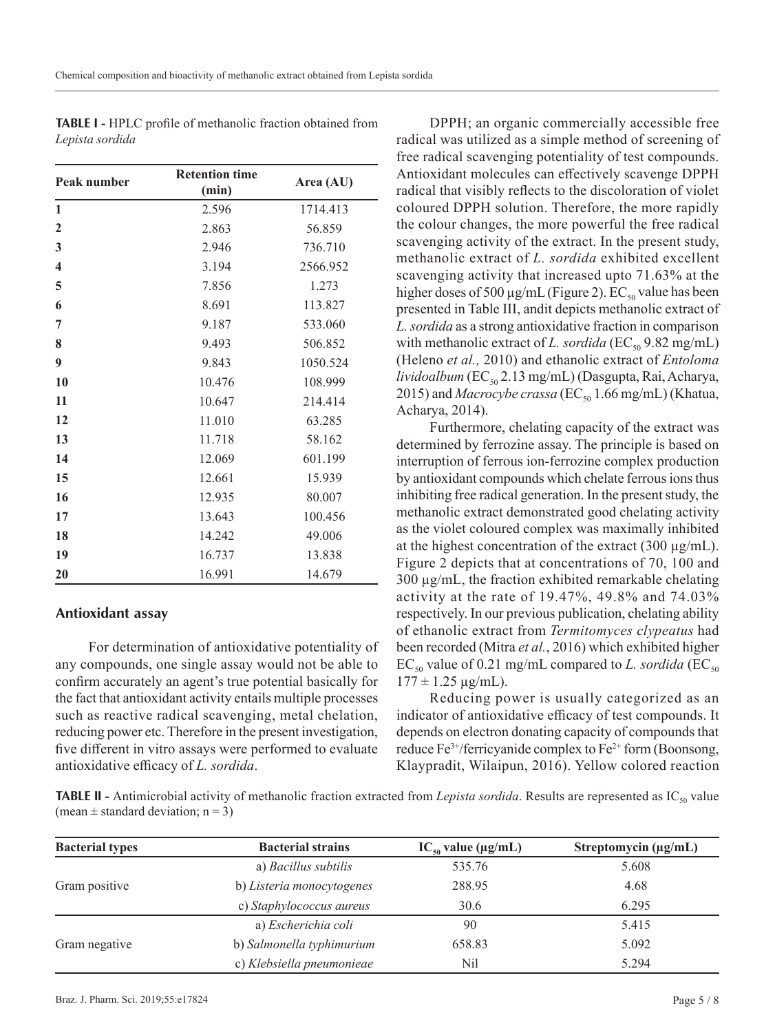| Peak number             | <b>Retention time</b><br>(min) | Area (AU) |
|-------------------------|--------------------------------|-----------|
| 1                       | 2.596                          | 1714.413  |
| $\mathbf{2}$            | 2.863                          | 56.859    |
| 3                       | 2.946                          | 736.710   |
| $\overline{\mathbf{4}}$ | 3.194                          | 2566.952  |
| 5                       | 7.856                          | 1.273     |
| 6                       | 8.691                          | 113.827   |
| 7                       | 9.187                          | 533.060   |
| 8                       | 9.493                          | 506.852   |
| 9                       | 9.843                          | 1050.524  |
| 10                      | 10.476                         | 108.999   |
| 11                      | 10.647                         | 214.414   |
| 12                      | 11.010                         | 63.285    |
| 13                      | 11.718                         | 58.162    |
| 14                      | 12.069                         | 601.199   |
| 15                      | 12.661                         | 15.939    |
| 16                      | 12.935                         | 80.007    |
| 17                      | 13.643                         | 100.456   |
| 18                      | 14.242                         | 49.006    |
| 19                      | 16.737                         | 13.838    |
| 20                      | 16.991                         | 14.679    |

**TABLE I -** HPLC profile of methanolic fraction obtained from *Lepista sordida*

## **Antioxidant assay**

For determination of antioxidative potentiality of any compounds, one single assay would not be able to confirm accurately an agent's true potential basically for the fact that antioxidant activity entails multiple processes such as reactive radical scavenging, metal chelation, reducing power etc. Therefore in the present investigation, five different in vitro assays were performed to evaluate antioxidative efficacy of *L. sordida*.

DPPH; an organic commercially accessible free radical was utilized as a simple method of screening of free radical scavenging potentiality of test compounds. Antioxidant molecules can effectively scavenge DPPH radical that visibly reflects to the discoloration of violet coloured DPPH solution. Therefore, the more rapidly the colour changes, the more powerful the free radical scavenging activity of the extract. In the present study, methanolic extract of *L. sordida* exhibited excellent scavenging activity that increased upto 71.63% at the higher doses of 500  $\mu$ g/mL (Figure 2). EC<sub>50</sub> value has been presented in Table III, andit depicts methanolic extract of *L. sordida* as a strong antioxidative fraction in comparison with methanolic extract of *L. sordida* (EC<sub>50</sub> 9.82 mg/mL) (Heleno *et al.,* 2010) and ethanolic extract of *Entoloma lividoalbum* (EC<sub>50</sub> 2.13 mg/mL) (Dasgupta, Rai, Acharya, 2015) and *Macrocybe crassa* (EC<sub>50</sub> 1.66 mg/mL) (Khatua, Acharya, 2014).

Furthermore, chelating capacity of the extract was determined by ferrozine assay. The principle is based on interruption of ferrous ion-ferrozine complex production by antioxidant compounds which chelate ferrous ions thus inhibiting free radical generation. In the present study, the methanolic extract demonstrated good chelating activity as the violet coloured complex was maximally inhibited at the highest concentration of the extract  $(300 \mu g/mL)$ . Figure 2 depicts that at concentrations of 70, 100 and 300 µg/mL, the fraction exhibited remarkable chelating activity at the rate of 19.47%, 49.8% and 74.03% respectively. In our previous publication, chelating ability of ethanolic extract from *Termitomyces clypeatus* had been recorded (Mitra *et al.*, 2016) which exhibited higher  $EC_{50}$  value of 0.21 mg/mL compared to *L. sordida* ( $EC_{50}$  $177 \pm 1.25 \,\mu g/mL$ ).

Reducing power is usually categorized as an indicator of antioxidative efficacy of test compounds. It depends on electron donating capacity of compounds that reduce Fe<sup>3+</sup>/ferricyanide complex to Fe<sup>2+</sup> form (Boonsong, Klaypradit, Wilaipun, 2016). Yellow colored reaction

**TABLE II** - Antimicrobial activity of methanolic fraction extracted from *Lepista sordida*. Results are represented as IC<sub>50</sub> value (mean  $\pm$  standard deviation; n = 3)

| <b>Bacterial types</b> | <b>Bacterial strains</b>  | $IC_{50}$ value ( $\mu$ g/mL) | Streptomycin (µg/mL) |
|------------------------|---------------------------|-------------------------------|----------------------|
|                        | a) Bacillus subtilis      | 535.76                        | 5.608                |
| Gram positive          | b) Listeria monocytogenes | 288.95                        | 4.68                 |
|                        | c) Staphylococcus aureus  | 30.6                          | 6.295                |
|                        | a) Escherichia coli       | 90                            | 5.415                |
| Gram negative          | b) Salmonella typhimurium | 658.83                        | 5.092                |
|                        | c) Klebsiella pneumonieae | Nil                           | 5.294                |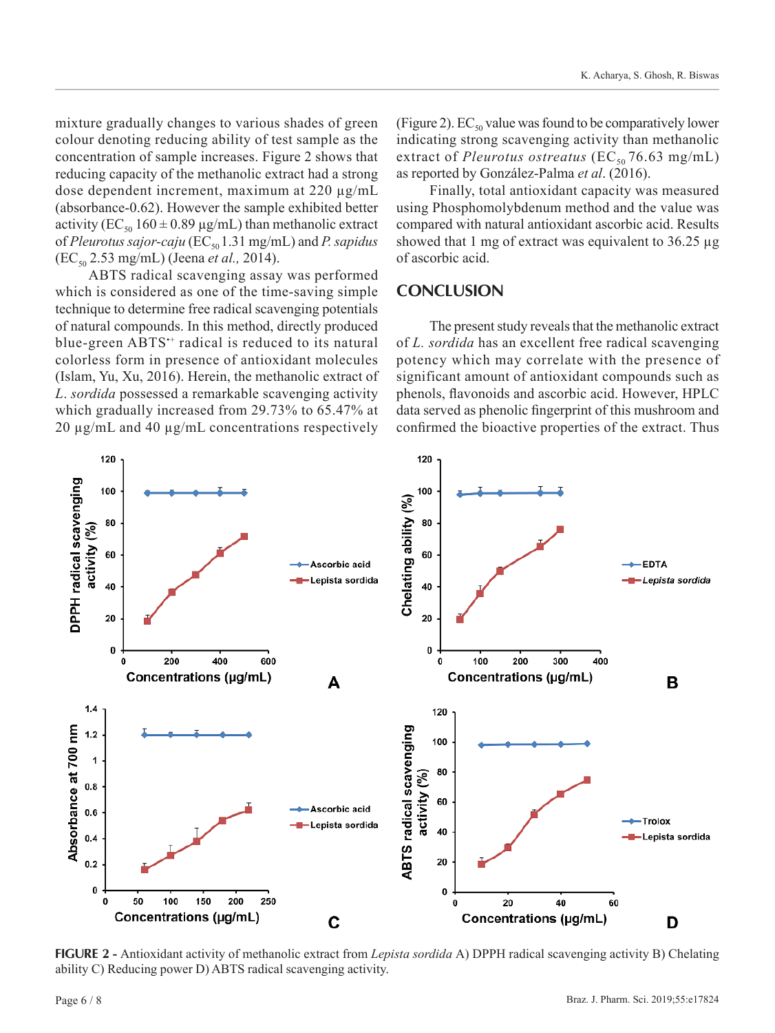mixture gradually changes to various shades of green colour denoting reducing ability of test sample as the concentration of sample increases. Figure 2 shows that reducing capacity of the methanolic extract had a strong dose dependent increment, maximum at 220 µg/mL (absorbance-0.62). However the sample exhibited better activity ( $EC_{50}$  160  $\pm$  0.89  $\mu$ g/mL) than methanolic extract of *Pleurotus sajor-caju* (EC<sub>50</sub> 1.31 mg/mL) and *P. sapidus* (EC<sub>50</sub> 2.53 mg/mL) (Jeena *et al.*, 2014).

ABTS radical scavenging assay was performed which is considered as one of the time-saving simple technique to determine free radical scavenging potentials of natural compounds. In this method, directly produced blue-green ABTS<sup>++</sup> radical is reduced to its natural colorless form in presence of antioxidant molecules (Islam, Yu, Xu, 2016). Herein, the methanolic extract of *L*. *sordida* possessed a remarkable scavenging activity which gradually increased from 29.73% to 65.47% at 20 µg/mL and 40 µg/mL concentrations respectively (Figure 2).  $EC_{50}$  value was found to be comparatively lower indicating strong scavenging activity than methanolic extract of *Pleurotus ostreatus* ( $EC_{50}$  76.63 mg/mL) as reported by González-Palma *et al*. (2016).

Finally, total antioxidant capacity was measured using Phosphomolybdenum method and the value was compared with natural antioxidant ascorbic acid. Results showed that 1 mg of extract was equivalent to  $36.25 \mu g$ of ascorbic acid.

## **CONCLUSION**

The present study reveals that the methanolic extract of *L. sordida* has an excellent free radical scavenging potency which may correlate with the presence of significant amount of antioxidant compounds such as phenols, flavonoids and ascorbic acid. However, HPLC data served as phenolic fingerprint of this mushroom and confirmed the bioactive properties of the extract. Thus



**FIGURE 2 -** Antioxidant activity of methanolic extract from *Lepista sordida* A) DPPH radical scavenging activity B) Chelating ability C) Reducing power D) ABTS radical scavenging activity.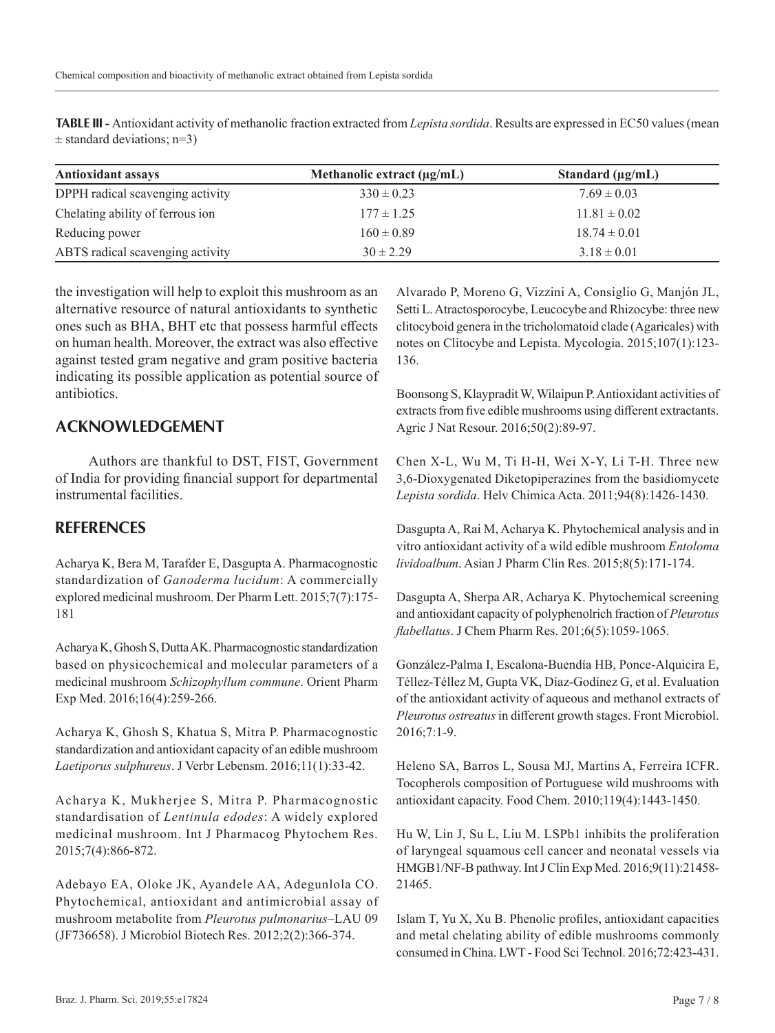**TABLE III -** Antioxidant activity of methanolic fraction extracted from *Lepista sordida*. Results are expressed in EC50 values (mean  $\pm$  standard deviations; n=3)

| <b>Antioxidant assays</b>        | Methanolic extract $(\mu g/mL)$ | Standard $(\mu g/mL)$ |
|----------------------------------|---------------------------------|-----------------------|
| DPPH radical scavenging activity | $330 \pm 0.23$                  | $7.69 \pm 0.03$       |
| Chelating ability of ferrous ion | $177 \pm 1.25$                  | $11.81 \pm 0.02$      |
| Reducing power                   | $160 \pm 0.89$                  | $18.74 \pm 0.01$      |
| ABTS radical scavenging activity | $30 \pm 2.29$                   | $3.18 \pm 0.01$       |

the investigation will help to exploit this mushroom as an alternative resource of natural antioxidants to synthetic ones such as BHA, BHT etc that possess harmful effects on human health. Moreover, the extract was also effective against tested gram negative and gram positive bacteria indicating its possible application as potential source of antibiotics.

## **ACKNOWLEDGEMENT**

Authors are thankful to DST, FIST, Government of India for providing financial support for departmental instrumental facilities.

## **REFERENCES**

Acharya K, Bera M, Tarafder E, Dasgupta A. Pharmacognostic standardization of *Ganoderma lucidum*: A commercially explored medicinal mushroom. Der Pharm Lett. 2015;7(7):175- 181

Acharya K, Ghosh S, Dutta AK. Pharmacognostic standardization based on physicochemical and molecular parameters of a medicinal mushroom *Schizophyllum commune*. Orient Pharm Exp Med. 2016;16(4):259-266.

Acharya K, Ghosh S, Khatua S, Mitra P. Pharmacognostic standardization and antioxidant capacity of an edible mushroom *Laetiporus sulphureus*. J Verbr Lebensm. 2016;11(1):33-42.

Acharya K, Mukherjee S, Mitra P. Pharmacognostic standardisation of *Lentinula edodes*: A widely explored medicinal mushroom. Int J Pharmacog Phytochem Res. 2015;7(4):866-872.

Adebayo EA, Oloke JK, Ayandele AA, Adegunlola CO. Phytochemical, antioxidant and antimicrobial assay of mushroom metabolite from *Pleurotus pulmonarius*–LAU 09 (JF736658). J Microbiol Biotech Res. 2012;2(2):366-374.

Alvarado P, Moreno G, Vizzini A, Consiglio G, Manjón JL, Setti L. Atractosporocybe, Leucocybe and Rhizocybe: three new clitocyboid genera in the tricholomatoid clade (Agaricales) with notes on Clitocybe and Lepista. Mycologia. 2015;107(1):123- 136.

Boonsong S, Klaypradit W, Wilaipun P. Antioxidant activities of extracts from five edible mushrooms using different extractants. Agric J Nat Resour. 2016;50(2):89-97.

Chen X-L, Wu M, Ti H-H, Wei X-Y, Li T-H. Three new 3,6-Dioxygenated Diketopiperazines from the basidiomycete *Lepista sordida*. Helv Chimica Acta. 2011;94(8):1426-1430.

Dasgupta A, Rai M, Acharya K. Phytochemical analysis and in vitro antioxidant activity of a wild edible mushroom *Entoloma lividoalbum*. Asian J Pharm Clin Res. 2015;8(5):171-174.

Dasgupta A, Sherpa AR, Acharya K. Phytochemical screening and antioxidant capacity of polyphenolrich fraction of *Pleurotus flabellatus*. J Chem Pharm Res. 201;6(5):1059-1065.

González-Palma I, Escalona-Buendía HB, Ponce-Alquicira E, Téllez-Téllez M, Gupta VK, Díaz-Godínez G, et al. Evaluation of the antioxidant activity of aqueous and methanol extracts of *Pleurotus ostreatus* in different growth stages. Front Microbiol. 2016;7:1-9.

Heleno SA, Barros L, Sousa MJ, Martins A, Ferreira ICFR. Tocopherols composition of Portuguese wild mushrooms with antioxidant capacity. Food Chem. 2010;119(4):1443-1450.

Hu W, Lin J, Su L, Liu M. LSPb1 inhibits the proliferation of laryngeal squamous cell cancer and neonatal vessels via HMGB1/NF-B pathway. Int J Clin Exp Med. 2016;9(11):21458- 21465.

Islam T, Yu X, Xu B. Phenolic profiles, antioxidant capacities and metal chelating ability of edible mushrooms commonly consumed in China. LWT - Food Sci Technol. 2016;72:423-431.